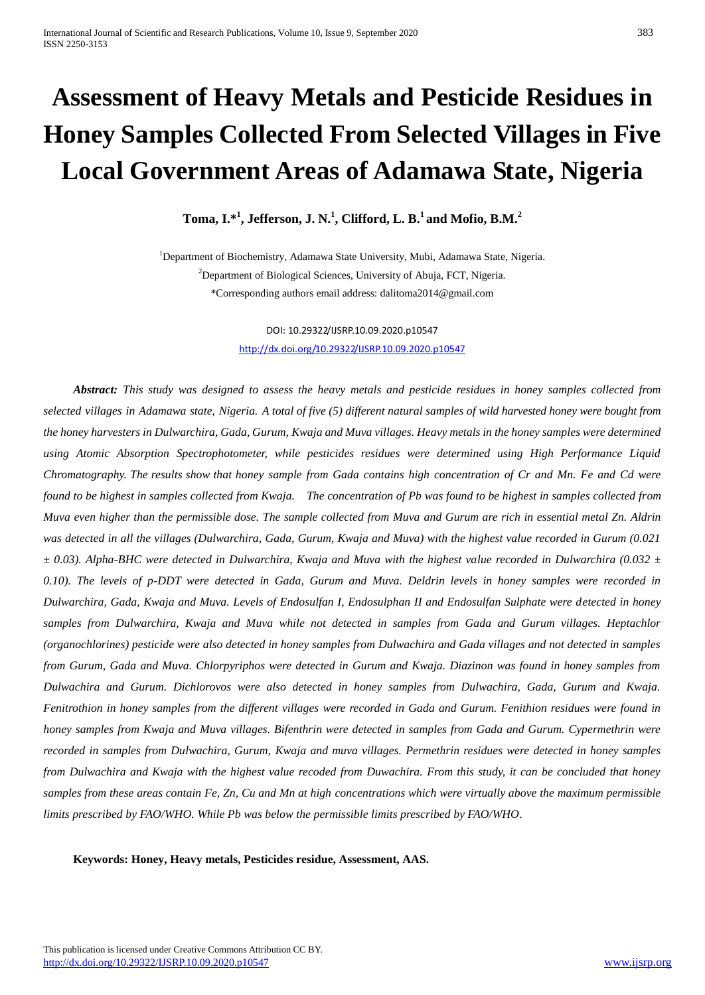# **Assessment of Heavy Metals and Pesticide Residues in Honey Samples Collected From Selected Villages in Five Local Government Areas of Adamawa State, Nigeria**

**Toma, I.\*<sup>1</sup> , Jefferson, J. N. 1 , Clifford, L. B.<sup>1</sup> and Mofio, B.M.<sup>2</sup>**

<sup>1</sup>Department of Biochemistry, Adamawa State University, Mubi, Adamawa State, Nigeria. <sup>2</sup>Department of Biological Sciences, University of Abuja, FCT, Nigeria. \*Corresponding authors email address: [dalitoma2014@gmail.com](mailto:dalitoma2014@gmail.com)

> DOI: 10.29322/IJSRP.10.09.2020.p10547 <http://dx.doi.org/10.29322/IJSRP.10.09.2020.p10547>

 *Abstract: This study was designed to assess the heavy metals and pesticide residues in honey samples collected from selected villages in Adamawa state, Nigeria. A total of five (5) different natural samples of wild harvested honey were bought from the honey harvesters in Dulwarchira, Gada, Gurum, Kwaja and Muva villages. Heavy metals in the honey samples were determined using Atomic Absorption Spectrophotometer, while pesticides residues were determined using High Performance Liquid Chromatography. The results show that honey sample from Gada contains high concentration of Cr and Mn. Fe and Cd were found to be highest in samples collected from Kwaja. The concentration of Pb was found to be highest in samples collected from Muva even higher than the permissible dose. The sample collected from Muva and Gurum are rich in essential metal Zn. Aldrin was detected in all the villages (Dulwarchira, Gada, Gurum, Kwaja and Muva) with the highest value recorded in Gurum (0.021 ± 0.03). Alpha-BHC were detected in Dulwarchira, Kwaja and Muva with the highest value recorded in Dulwarchira (0.032 ±*  0.10). The levels of p-DDT were detected in Gada, Gurum and Muva. Deldrin levels in honey samples were recorded in *Dulwarchira, Gada, Kwaja and Muva. Levels of Endosulfan I, Endosulphan II and Endosulfan Sulphate were detected in honey samples from Dulwarchira, Kwaja and Muva while not detected in samples from Gada and Gurum villages. Heptachlor (organochlorines) pesticide were also detected in honey samples from Dulwachira and Gada villages and not detected in samples from Gurum, Gada and Muva. Chlorpyriphos were detected in Gurum and Kwaja. Diazinon was found in honey samples from Dulwachira and Gurum. Dichlorovos were also detected in honey samples from Dulwachira, Gada, Gurum and Kwaja. Fenitrothion in honey samples from the different villages were recorded in Gada and Gurum. Fenithion residues were found in honey samples from Kwaja and Muva villages. Bifenthrin were detected in samples from Gada and Gurum. Cypermethrin were recorded in samples from Dulwachira, Gurum, Kwaja and muva villages. Permethrin residues were detected in honey samples from Dulwachira and Kwaja with the highest value recoded from Duwachira. From this study, it can be concluded that honey samples from these areas contain Fe, Zn, Cu and Mn at high concentrations which were virtually above the maximum permissible limits prescribed by FAO/WHO. While Pb was below the permissible limits prescribed by FAO/WHO.* 

 **Keywords: Honey, Heavy metals, Pesticides residue, Assessment, AAS.**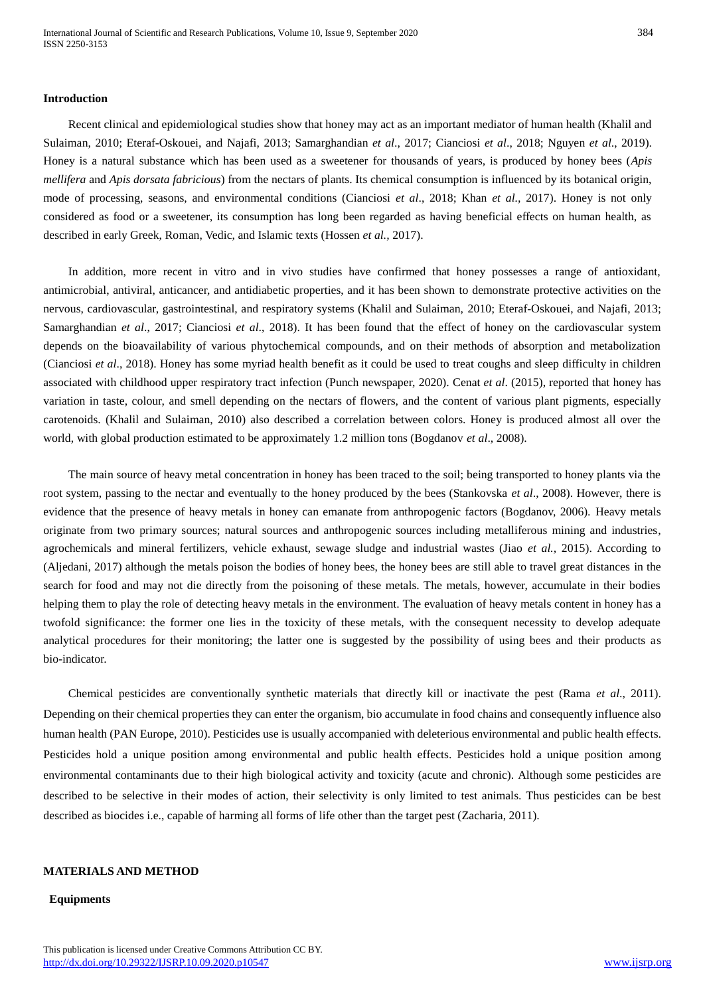#### **Introduction**

Recent clinical and epidemiological studies show that honey may act as an important mediator of human health (Khalil and Sulaiman, 2010; Eteraf-Oskouei, and Najafi, 2013; Samarghandian *et al*., 2017; Cianciosi *et al*., 2018; Nguyen *et al*., 2019). Honey is a natural substance which has been used as a sweetener for thousands of years, is produced by honey bees (*Apis mellifera* and *Apis dorsata fabricious*) from the nectars of plants. Its chemical consumption is influenced by its botanical origin, mode of processing, seasons, and environmental conditions (Cianciosi *et al*., 2018; Khan *et al.,* 2017). Honey is not only considered as food or a sweetener, its consumption has long been regarded as having beneficial effects on human health, as described in early Greek, Roman, Vedic, and Islamic texts (Hossen *et al.,* 2017).

In addition, more recent in vitro and in vivo studies have confirmed that honey possesses a range of antioxidant, antimicrobial, antiviral, anticancer, and antidiabetic properties, and it has been shown to demonstrate protective activities on the nervous, cardiovascular, gastrointestinal, and respiratory systems (Khalil and Sulaiman, 2010; Eteraf-Oskouei, and Najafi, 2013; Samarghandian *et al*., 2017; Cianciosi *et al*., 2018). It has been found that the effect of honey on the cardiovascular system depends on the bioavailability of various phytochemical compounds, and on their methods of absorption and metabolization (Cianciosi *et al*., 2018). Honey has some myriad health benefit as it could be used to treat coughs and sleep difficulty in children associated with childhood upper respiratory tract infection (Punch newspaper, 2020). Cenat *et al*. (2015), reported that honey has variation in taste, colour, and smell depending on the nectars of flowers, and the content of various plant pigments, especially carotenoids. (Khalil and Sulaiman, 2010) also described a correlation between colors. Honey is produced almost all over the world, with global production estimated to be approximately 1.2 million tons (Bogdanov *et al*., 2008).

The main source of heavy metal concentration in honey has been traced to the soil; being transported to honey plants via the root system, passing to the nectar and eventually to the honey produced by the bees (Stankovska *et al*., 2008). However, there is evidence that the presence of heavy metals in honey can emanate from anthropogenic factors (Bogdanov, 2006). Heavy metals originate from two primary sources; natural sources and anthropogenic sources including metalliferous mining and industries, agrochemicals and mineral fertilizers, vehicle exhaust, sewage sludge and industrial wastes (Jiao *et al.,* 2015). According to (Aljedani, 2017) although the metals poison the bodies of honey bees, the honey bees are still able to travel great distances in the search for food and may not die directly from the poisoning of these metals. The metals, however, accumulate in their bodies helping them to play the role of detecting heavy metals in the environment. The evaluation of heavy metals content in honey has a twofold significance: the former one lies in the toxicity of these metals, with the consequent necessity to develop adequate analytical procedures for their monitoring; the latter one is suggested by the possibility of using bees and their products as bio-indicator.

Chemical pesticides are conventionally synthetic materials that directly kill or inactivate the pest (Rama *et al*., 2011). Depending on their chemical properties they can enter the organism, bio accumulate in food chains and consequently influence also human health (PAN Europe, 2010). Pesticides use is usually accompanied with deleterious environmental and public health effects. Pesticides hold a unique position among environmental and public health effects. Pesticides hold a unique position among environmental contaminants due to their high biological activity and toxicity (acute and chronic). Although some pesticides are described to be selective in their modes of action, their selectivity is only limited to test animals. Thus pesticides can be best described as biocides i.e., capable of harming all forms of life other than the target pest (Zacharia, 2011).

#### **MATERIALS AND METHOD**

#### **Equipments**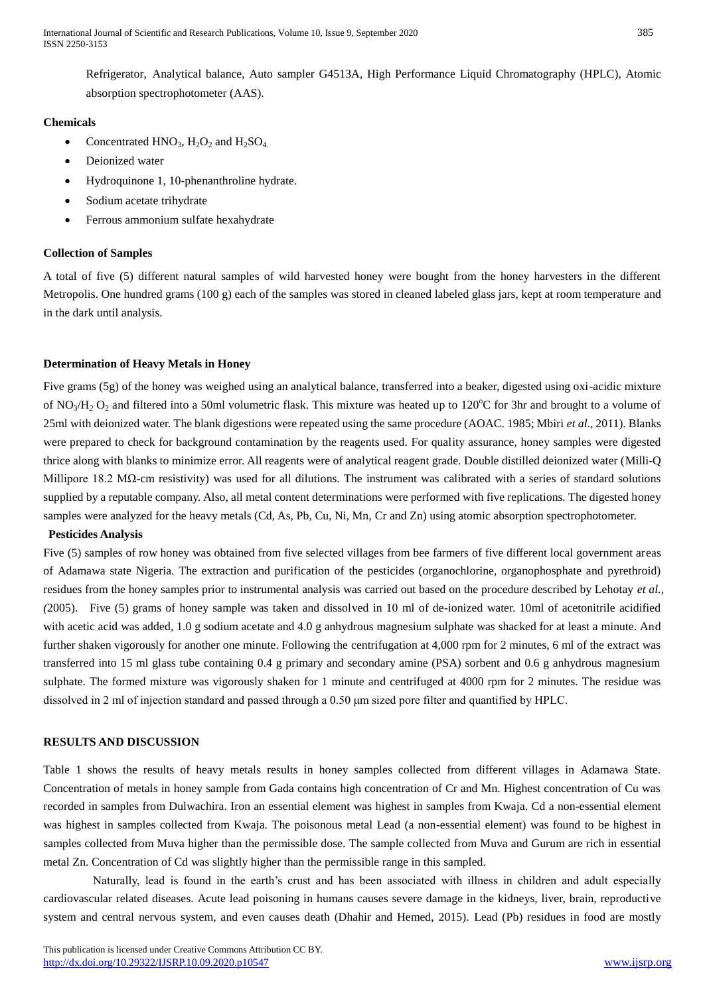Refrigerator, Analytical balance, Auto sampler G4513A, High Performance Liquid Chromatography (HPLC), Atomic absorption spectrophotometer (AAS).

## **Chemicals**

- Concentrated  $HNO<sub>3</sub>$ ,  $H<sub>2</sub>O<sub>2</sub>$  and  $H<sub>2</sub>SO<sub>4</sub>$ .
- Deionized water
- Hydroquinone 1, 10-phenanthroline hydrate.
- Sodium acetate trihydrate
- Ferrous ammonium sulfate hexahydrate

# **Collection of Samples**

A total of five (5) different natural samples of wild harvested honey were bought from the honey harvesters in the different Metropolis. One hundred grams (100 g) each of the samples was stored in cleaned labeled glass jars, kept at room temperature and in the dark until analysis.

# **Determination of Heavy Metals in Honey**

Five grams (5g) of the honey was weighed using an analytical balance, transferred into a beaker, digested using oxi-acidic mixture of NO<sub>3</sub>/H<sub>2</sub> O<sub>2</sub> and filtered into a 50ml volumetric flask. This mixture was heated up to 120 $^{\circ}$ C for 3hr and brought to a volume of 25ml with deionized water. The blank digestions were repeated using the same procedure (AOAC. 1985; Mbiri *et al*., 2011). Blanks were prepared to check for background contamination by the reagents used. For quality assurance, honey samples were digested thrice along with blanks to minimize error. All reagents were of analytical reagent grade. Double distilled deionized water (Milli-Q Millipore 18.2 MΩ-cm resistivity) was used for all dilutions. The instrument was calibrated with a series of standard solutions supplied by a reputable company. Also, all metal content determinations were performed with five replications. The digested honey samples were analyzed for the heavy metals (Cd, As, Pb, Cu, Ni, Mn, Cr and Zn) using atomic absorption spectrophotometer.

# **Pesticides Analysis**

Five (5) samples of row honey was obtained from five selected villages from bee farmers of five different local government areas of Adamawa state Nigeria. The extraction and purification of the pesticides (organochlorine, organophosphate and pyrethroid) residues from the honey samples prior to instrumental analysis was carried out based on the procedure described by Lehotay *et al., (*2005). Five (5) grams of honey sample was taken and dissolved in 10 ml of de-ionized water. 10ml of acetonitrile acidified with acetic acid was added, 1.0 g sodium acetate and 4.0 g anhydrous magnesium sulphate was shacked for at least a minute. And further shaken vigorously for another one minute. Following the centrifugation at 4,000 rpm for 2 minutes, 6 ml of the extract was transferred into 15 ml glass tube containing 0.4 g primary and secondary amine (PSA) sorbent and 0.6 g anhydrous magnesium sulphate. The formed mixture was vigorously shaken for 1 minute and centrifuged at 4000 rpm for 2 minutes. The residue was dissolved in 2 ml of injection standard and passed through a 0.50 μm sized pore filter and quantified by HPLC.

## **RESULTS AND DISCUSSION**

Table 1 shows the results of heavy metals results in honey samples collected from different villages in Adamawa State. Concentration of metals in honey sample from Gada contains high concentration of Cr and Mn. Highest concentration of Cu was recorded in samples from Dulwachira. Iron an essential element was highest in samples from Kwaja. Cd a non-essential element was highest in samples collected from Kwaja. The poisonous metal Lead (a non-essential element) was found to be highest in samples collected from Muva higher than the permissible dose. The sample collected from Muva and Gurum are rich in essential metal Zn. Concentration of Cd was slightly higher than the permissible range in this sampled.

Naturally, lead is found in the earth's crust and has been associated with illness in children and adult especially cardiovascular related diseases. Acute lead poisoning in humans causes severe damage in the kidneys, liver, brain, reproductive system and central nervous system, and even causes death (Dhahir and Hemed, 2015). Lead (Pb) residues in food are mostly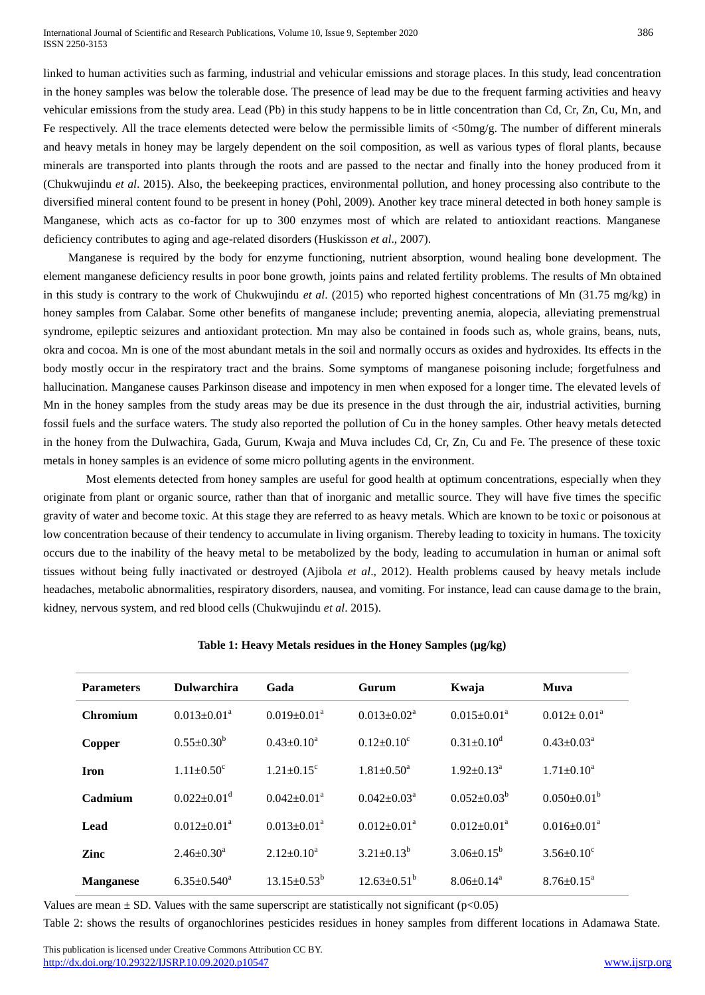International Journal of Scientific and Research Publications, Volume 10, Issue 9, September 2020 386 ISSN 2250-3153

linked to human activities such as farming, industrial and vehicular emissions and storage places. In this study, lead concentration in the honey samples was below the tolerable dose. The presence of lead may be due to the frequent farming activities and heavy vehicular emissions from the study area. Lead (Pb) in this study happens to be in little concentration than Cd, Cr, Zn, Cu, Mn, and Fe respectively. All the trace elements detected were below the permissible limits of  $\langle 50 \text{mg/g} \rangle$ . The number of different minerals and heavy metals in honey may be largely dependent on the soil composition, as well as various types of floral plants, because minerals are transported into plants through the roots and are passed to the nectar and finally into the honey produced from it (Chukwujindu *et al*. 2015). Also, the beekeeping practices, environmental pollution, and honey processing also contribute to the diversified mineral content found to be present in honey (Pohl, 2009). Another key trace mineral detected in both honey sample is Manganese, which acts as co-factor for up to 300 enzymes most of which are related to antioxidant reactions. Manganese deficiency contributes to aging and age-related disorders (Huskisson *et al*., 2007).

Manganese is required by the body for enzyme functioning, nutrient absorption, wound healing bone development. The element manganese deficiency results in poor bone growth, joints pains and related fertility problems. The results of Mn obtained in this study is contrary to the work of Chukwujindu *et al*. (2015) who reported highest concentrations of Mn (31.75 mg/kg) in honey samples from Calabar. Some other benefits of manganese include; preventing anemia, alopecia, alleviating premenstrual syndrome, epileptic seizures and antioxidant protection. Mn may also be contained in foods such as, whole grains, beans, nuts, okra and cocoa. Mn is one of the most abundant metals in the soil and normally occurs as oxides and hydroxides. Its effects in the body mostly occur in the respiratory tract and the brains. Some symptoms of manganese poisoning include; forgetfulness and hallucination. Manganese causes Parkinson disease and impotency in men when exposed for a longer time. The elevated levels of Mn in the honey samples from the study areas may be due its presence in the dust through the air, industrial activities, burning fossil fuels and the surface waters. The study also reported the pollution of Cu in the honey samples. Other heavy metals detected in the honey from the Dulwachira, Gada, Gurum, Kwaja and Muva includes Cd, Cr, Zn, Cu and Fe. The presence of these toxic metals in honey samples is an evidence of some micro polluting agents in the environment.

Most elements detected from honey samples are useful for good health at optimum concentrations, especially when they originate from plant or organic source, rather than that of inorganic and metallic source. They will have five times the specific gravity of water and become toxic. At this stage they are referred to as heavy metals. Which are known to be toxic or poisonous at low concentration because of their tendency to accumulate in living organism. Thereby leading to toxicity in humans. The toxicity occurs due to the inability of the heavy metal to be metabolized by the body, leading to accumulation in human or animal soft tissues without being fully inactivated or destroyed (Ajibola *et al*., 2012). Health problems caused by heavy metals include headaches, metabolic abnormalities, respiratory disorders, nausea, and vomiting. For instance, lead can cause damage to the brain, kidney, nervous system, and red blood cells (Chukwujindu *et al*. 2015).

| <b>Parameters</b> | <b>Dulwarchira</b>            | Gada                  | Gurum                         | Kwaja              | <b>Muva</b>                |
|-------------------|-------------------------------|-----------------------|-------------------------------|--------------------|----------------------------|
| <b>Chromium</b>   | $0.013 \pm 0.01^a$            | $0.019 \pm 0.01^a$    | $0.013 \pm 0.02^a$            | $0.015 \pm 0.01^a$ | $0.012 \pm 0.01^a$         |
| Copper            | $0.55+0.30^b$                 | $0.43 \pm 0.10^a$     | $0.12 + 0.10^{\circ}$         | $0.31 + 0.10^d$    | $0.43 \pm 0.03^{\text{a}}$ |
| <b>Iron</b>       | $1.11 + 0.50^{\circ}$         | $1.21 + 0.15^{\circ}$ | $1.81 + 0.50^a$               | $1.92+0.13^a$      | $1.71 \pm 0.10^a$          |
| Cadmium           | $0.022 \pm 0.01$ <sup>d</sup> | $0.042 \pm 0.01^a$    | $0.042 \pm 0.03^{\text{a}}$   | $0.052 \pm 0.03^b$ | $0.050 \pm 0.01^b$         |
| Lead              | $0.012 + 0.01^a$              | $0.013 + 0.01a$       | $0.012 + 0.01^a$              | $0.012 + 0.01^a$   | $0.016 \pm 0.01^a$         |
| Zinc              | $2.46 \pm 0.30^a$             | $2.12 \pm 0.10^a$     | $3.21 \pm 0.13^b$             | $3.06 \pm 0.15^b$  | $3.56 \pm 0.10^{\circ}$    |
| <b>Manganese</b>  | $6.35 \pm 0.540^a$            | $13.15 \pm 0.53^b$    | $12.63 \pm 0.51^{\mathrm{b}}$ | $8.06 + 0.14^a$    | $8.76 \pm 0.15^{\text{a}}$ |
|                   |                               |                       |                               |                    |                            |

**Table 1: Heavy Metals residues in the Honey Samples (µg/kg)**

Values are mean  $\pm$  SD. Values with the same superscript are statistically not significant (p<0.05)

Table 2: shows the results of organochlorines pesticides residues in honey samples from different locations in Adamawa State.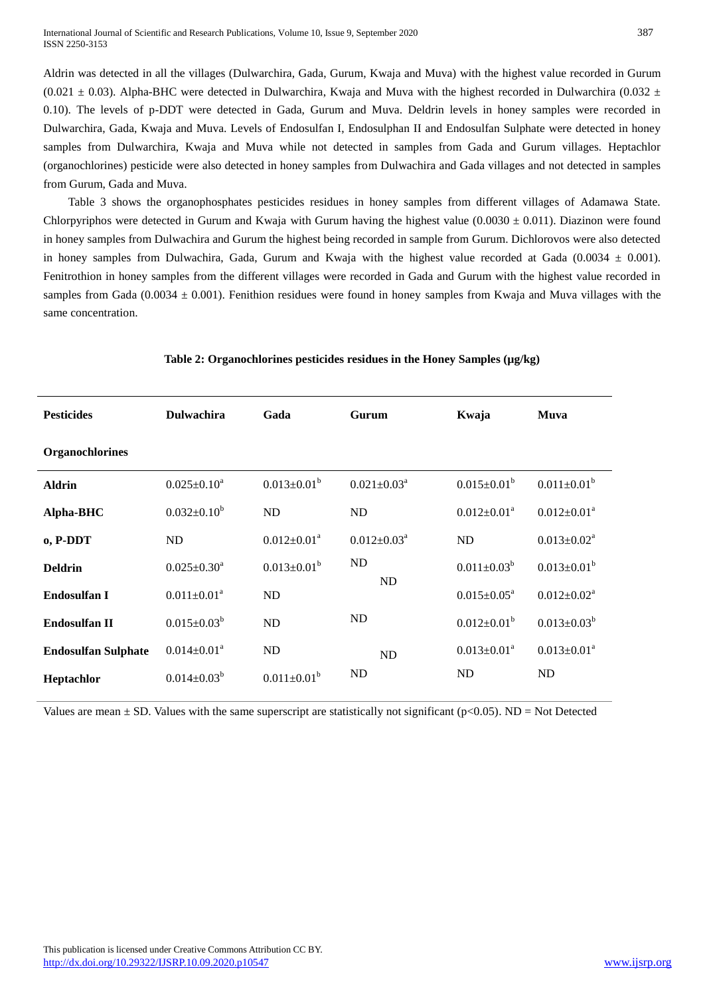Aldrin was detected in all the villages (Dulwarchira, Gada, Gurum, Kwaja and Muva) with the highest value recorded in Gurum (0.021  $\pm$  0.03). Alpha-BHC were detected in Dulwarchira, Kwaja and Muva with the highest recorded in Dulwarchira (0.032  $\pm$ 0.10). The levels of p-DDT were detected in Gada, Gurum and Muva. Deldrin levels in honey samples were recorded in Dulwarchira, Gada, Kwaja and Muva. Levels of Endosulfan I, Endosulphan II and Endosulfan Sulphate were detected in honey samples from Dulwarchira, Kwaja and Muva while not detected in samples from Gada and Gurum villages. Heptachlor (organochlorines) pesticide were also detected in honey samples from Dulwachira and Gada villages and not detected in samples from Gurum, Gada and Muva.

Table 3 shows the organophosphates pesticides residues in honey samples from different villages of Adamawa State. Chlorpyriphos were detected in Gurum and Kwaja with Gurum having the highest value  $(0.0030 \pm 0.011)$ . Diazinon were found in honey samples from Dulwachira and Gurum the highest being recorded in sample from Gurum. Dichlorovos were also detected in honey samples from Dulwachira, Gada, Gurum and Kwaja with the highest value recorded at Gada (0.0034  $\pm$  0.001). Fenitrothion in honey samples from the different villages were recorded in Gada and Gurum with the highest value recorded in samples from Gada (0.0034  $\pm$  0.001). Fenithion residues were found in honey samples from Kwaja and Muva villages with the same concentration.

| <b>Pesticides</b>          | <b>Dulwachira</b>             | Gada               | Gurum                       | Kwaja                         | Muva               |
|----------------------------|-------------------------------|--------------------|-----------------------------|-------------------------------|--------------------|
| <b>Organochlorines</b>     |                               |                    |                             |                               |                    |
| <b>Aldrin</b>              | $0.025 \pm 0.10^a$            | $0.013 \pm 0.01^b$ | $0.021 \pm 0.03^a$          | $0.015 \pm 0.01^b$            | $0.011 \pm 0.01^b$ |
| Alpha-BHC                  | $0.032 \pm 0.10^b$            | ND                 | ND                          | $0.012 \pm 0.01^a$            | $0.012 \pm 0.01^a$ |
| o, P-DDT                   | <b>ND</b>                     | $0.012 \pm 0.01^a$ | $0.012 \pm 0.03^{\text{a}}$ | ND                            | $0.013 \pm 0.02^a$ |
| <b>Deldrin</b>             | $0.025 \pm 0.30^a$            | $0.013 \pm 0.01^b$ | ND                          | $0.011 \pm 0.03^b$            | $0.013 \pm 0.01^b$ |
| Endosulfan I               | $0.011 \pm 0.01^a$            | ND                 | ND                          | $0.015 \pm 0.05^{\text{a}}$   | $0.012 \pm 0.02^a$ |
| <b>Endosulfan II</b>       | $0.015 \pm 0.03^b$            | ND                 | <b>ND</b>                   | $0.012 \pm 0.01^b$            | $0.013 \pm 0.03^b$ |
| <b>Endosulfan Sulphate</b> | $0.014 \pm 0.01$ <sup>a</sup> | ND                 | <b>ND</b>                   | $0.013 \pm 0.01$ <sup>a</sup> | $0.013 \pm 0.01^a$ |
| Heptachlor                 | $0.014 \pm 0.03^b$            | $0.011 \pm 0.01^b$ | <b>ND</b>                   | ND                            | <b>ND</b>          |

## Table 2: Organochlorines pesticides residues in the Honey Samples ( $\mu$ g/kg)

Values are mean  $\pm$  SD. Values with the same superscript are statistically not significant ( $p$ <0.05). ND = Not Detected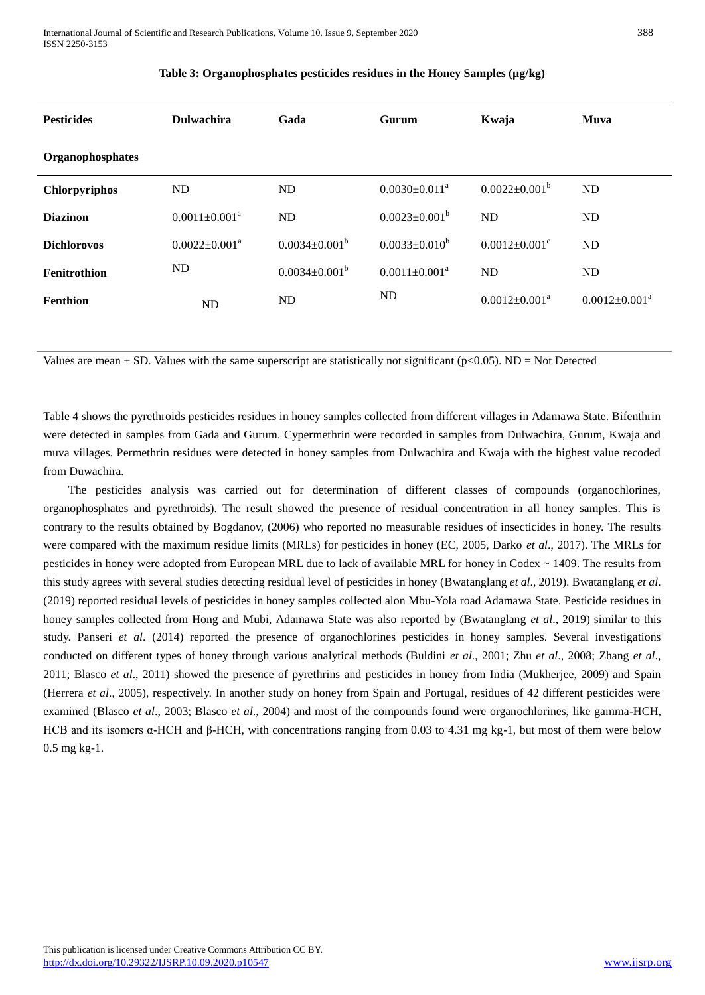| <b>Pesticides</b>    | <b>Dulwachira</b>    | Gada                 | Gurum                           | Kwaja                           | Muva                 |
|----------------------|----------------------|----------------------|---------------------------------|---------------------------------|----------------------|
| Organophosphates     |                      |                      |                                 |                                 |                      |
| <b>Chlorpyriphos</b> | <b>ND</b>            | ND                   | $0.0030 \pm 0.011$ <sup>a</sup> | $0.0022 \pm 0.001^b$            | ND                   |
| <b>Diazinon</b>      | $0.0011 \pm 0.001^a$ | ND                   | $0.0023 \pm 0.001^b$            | ND                              | ND                   |
| <b>Dichlorovos</b>   | $0.0022 \pm 0.001^a$ | $0.0034 \pm 0.001^b$ | $0.0033 \pm 0.010^b$            | $0.0012 \pm 0.001$ <sup>c</sup> | ND.                  |
| Fenitrothion         | ND                   | $0.0034 \pm 0.001^b$ | $0.0011 \pm 0.001^a$            | ND                              | ND                   |
| <b>Fenthion</b>      | ND                   | ND                   | ND                              | $0.0012 \pm 0.001^a$            | $0.0012 \pm 0.001^a$ |

# **Table 3: Organophosphates pesticides residues in the Honey Samples (µg/kg)**

Values are mean  $\pm$  SD. Values with the same superscript are statistically not significant ( $p$ <0.05). ND = Not Detected

Table 4 shows the pyrethroids pesticides residues in honey samples collected from different villages in Adamawa State. Bifenthrin were detected in samples from Gada and Gurum. Cypermethrin were recorded in samples from Dulwachira, Gurum, Kwaja and muva villages. Permethrin residues were detected in honey samples from Dulwachira and Kwaja with the highest value recoded from Duwachira.

The pesticides analysis was carried out for determination of different classes of compounds (organochlorines, organophosphates and pyrethroids). The result showed the presence of residual concentration in all honey samples. This is contrary to the results obtained by Bogdanov, (2006) who reported no measurable residues of insecticides in honey. The results were compared with the maximum residue limits (MRLs) for pesticides in honey (EC, 2005, Darko *et al*., 2017). The MRLs for pesticides in honey were adopted from European MRL due to lack of available MRL for honey in Codex ~ 1409. The results from this study agrees with several studies detecting residual level of pesticides in honey (Bwatanglang *et al*., 2019). Bwatanglang *et al*. (2019) reported residual levels of pesticides in honey samples collected alon Mbu-Yola road Adamawa State. Pesticide residues in honey samples collected from Hong and Mubi, Adamawa State was also reported by (Bwatanglang *et al*., 2019) similar to this study. Panseri *et al*. (2014) reported the presence of organochlorines pesticides in honey samples. Several investigations conducted on different types of honey through various analytical methods (Buldini *et al*., 2001; Zhu *et al*., 2008; Zhang *et al*., 2011; Blasco *et al*., 2011) showed the presence of pyrethrins and pesticides in honey from India (Mukherjee, 2009) and Spain (Herrera *et al*., 2005), respectively. In another study on honey from Spain and Portugal, residues of 42 different pesticides were examined (Blasco *et al*., 2003; Blasco *et al*., 2004) and most of the compounds found were organochlorines, like gamma-HCH, HCB and its isomers α-HCH and β-HCH, with concentrations ranging from 0.03 to 4.31 mg kg-1, but most of them were below 0.5 mg kg-1.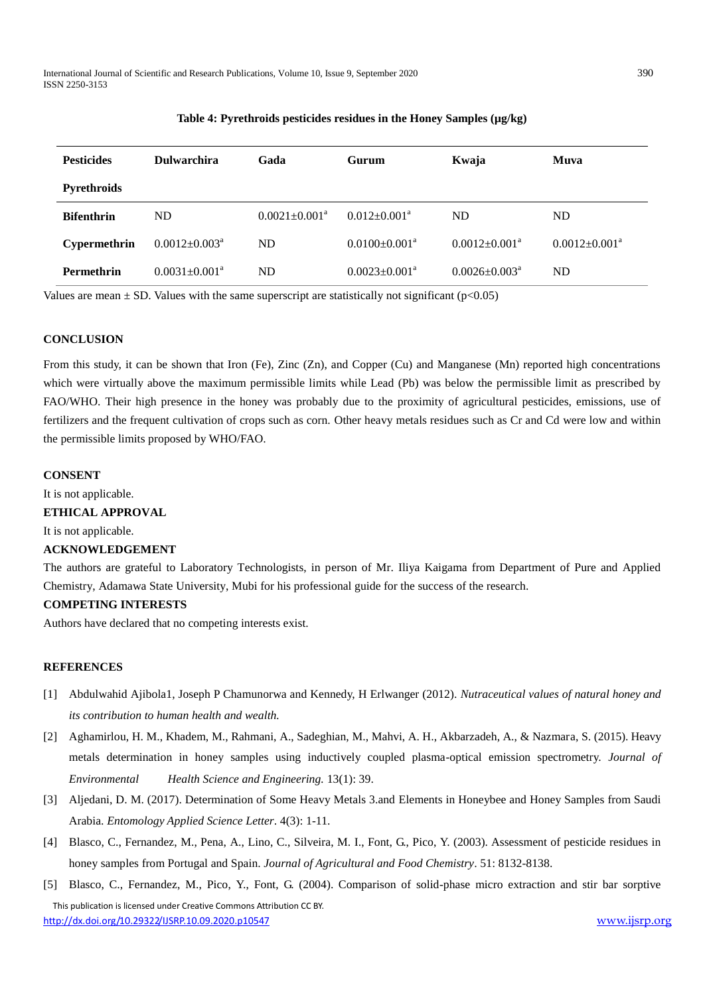International Journal of Scientific and Research Publications, Volume 10, Issue 9, September 2020 390 ISSN 2250-3153

| <b>Pesticides</b>  | <b>Dulwarchira</b>              | Gada                 | Gurum                           | Kwaja                         | Muva                 |
|--------------------|---------------------------------|----------------------|---------------------------------|-------------------------------|----------------------|
| <b>Pyrethroids</b> |                                 |                      |                                 |                               |                      |
| <b>Bifenthrin</b>  | ND                              | $0.0021 \pm 0.001^a$ | $0.012 \pm 0.001$ <sup>a</sup>  | <b>ND</b>                     | ND                   |
| Cypermethrin       | $0.0012 \pm 0.003^{\text{a}}$   | <b>ND</b>            | $0.0100 \pm 0.001$ <sup>a</sup> | $0.0012 \pm 0.001^a$          | $0.0012 \pm 0.001^a$ |
| <b>Permethrin</b>  | $0.0031 \pm 0.001$ <sup>a</sup> | ND                   | $0.0023 \pm 0.001$ <sup>a</sup> | $0.0026 \pm 0.003^{\text{a}}$ | ND                   |

## **Table 4: Pyrethroids pesticides residues in the Honey Samples (µg/kg)**

Values are mean  $\pm$  SD. Values with the same superscript are statistically not significant (p $<0.05$ )

## **CONCLUSION**

From this study, it can be shown that Iron (Fe), Zinc (Zn), and Copper (Cu) and Manganese (Mn) reported high concentrations which were virtually above the maximum permissible limits while Lead (Pb) was below the permissible limit as prescribed by FAO/WHO. Their high presence in the honey was probably due to the proximity of agricultural pesticides, emissions, use of fertilizers and the frequent cultivation of crops such as corn. Other heavy metals residues such as Cr and Cd were low and within the permissible limits proposed by WHO/FAO.

# **CONSENT**

It is not applicable.

#### **ETHICAL APPROVAL**

It is not applicable.

#### **ACKNOWLEDGEMENT**

The authors are grateful to Laboratory Technologists, in person of Mr. Iliya Kaigama from Department of Pure and Applied Chemistry, Adamawa State University, Mubi for his professional guide for the success of the research.

## **COMPETING INTERESTS**

Authors have declared that no competing interests exist.

#### **REFERENCES**

- [1] Abdulwahid Ajibola1, Joseph P Chamunorwa and Kennedy, H Erlwanger (2012). *Nutraceutical values of natural honey and its contribution to human health and wealth.*
- [2] Aghamirlou, H. M., Khadem, M., Rahmani, A., Sadeghian, M., Mahvi, A. H., Akbarzadeh, A., & Nazmara, S. (2015). Heavy metals determination in honey samples using inductively coupled plasma-optical emission spectrometry. *Journal of Environmental Health Science and Engineering.* 13(1): 39.
- [3] Aljedani, D. M. (2017). Determination of Some Heavy Metals 3.and Elements in Honeybee and Honey Samples from Saudi Arabia. *Entomology Applied Science Letter*. 4(3): 1-11.
- [4] Blasco, C., Fernandez, M., Pena, A., Lino, C., Silveira, M. I., Font, G., Pico, Y. (2003). Assessment of pesticide residues in honey samples from Portugal and Spain. *Journal of Agricultural and Food Chemistry*. 51: 8132-8138.
- This publication is licensed under Creative Commons Attribution CC BY. <http://dx.doi.org/10.29322/IJSRP.10.09.2020.p10547> [www.ijsrp.org](http://ijsrp.org/) [5] Blasco, C., Fernandez, M., Pico, Y., Font, G. (2004). Comparison of solid-phase micro extraction and stir bar sorptive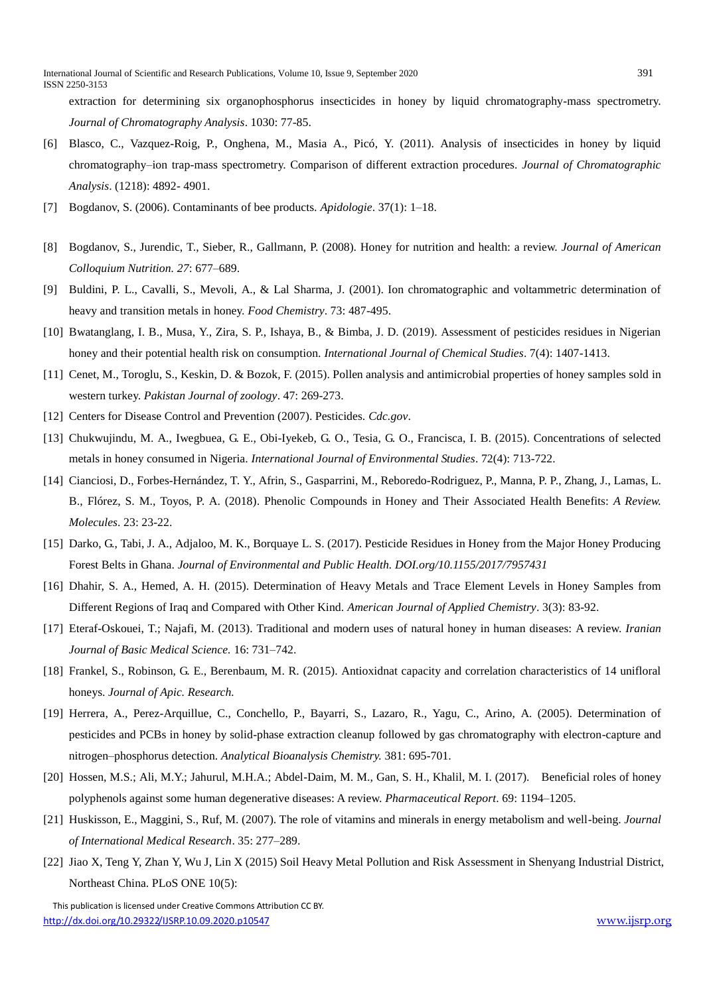extraction for determining six organophosphorus insecticides in honey by liquid chromatography-mass spectrometry. *Journal of Chromatography Analysis*. 1030: 77-85.

- [6] Blasco, C., Vazquez-Roig, P., Onghena, M., Masia A., Picó, Y. (2011). Analysis of insecticides in honey by liquid chromatography–ion trap-mass spectrometry. Comparison of different extraction procedures. *Journal of Chromatographic Analysis*. (1218): 4892- 4901.
- [7] Bogdanov, S. (2006). Contaminants of bee products. *Apidologie*. 37(1): 1–18.
- [8] Bogdanov, S., Jurendic, T., Sieber, R., Gallmann, P. (2008). Honey for nutrition and health: a review. *Journal of American Colloquium Nutrition. 27*: 677–689.
- [9] Buldini, P. L., Cavalli, S., Mevoli, A., & Lal Sharma, J. (2001). Ion chromatographic and voltammetric determination of heavy and transition metals in honey. *Food Chemistry*. 73: 487-495.
- [10] Bwatanglang, I. B., Musa, Y., Zira, S. P., Ishaya, B., & Bimba, J. D. (2019). Assessment of pesticides residues in Nigerian honey and their potential health risk on consumption. *International Journal of Chemical Studies*. 7(4): 1407-1413.
- [11] Cenet, M., Toroglu, S., Keskin, D. & Bozok, F. (2015). Pollen analysis and antimicrobial properties of honey samples sold in western turkey. *Pakistan Journal of zoology*. 47: 269-273.
- [12] Centers for Disease Control and Prevention (2007). Pesticides. *Cdc.gov*.
- [13] Chukwujindu, M. A., Iwegbuea, G. E., Obi-Iyekeb, G. O., Tesia, G. O., Francisca, I. B. (2015). Concentrations of selected metals in honey consumed in Nigeria. *International Journal of Environmental Studies*. 72(4): 713-722.
- [14] Cianciosi, D., Forbes-Hernández, T. Y., Afrin, S., Gasparrini, M., Reboredo-Rodriguez, P., Manna, P. P., Zhang, J., Lamas, L. B., Flórez, S. M., Toyos, P. A. (2018). Phenolic Compounds in Honey and Their Associated Health Benefits: *A Review. Molecules*. 23: 23-22.
- [15] Darko, G., Tabi, J. A., Adjaloo, M. K., Borquaye L. S. (2017). Pesticide Residues in Honey from the Major Honey Producing Forest Belts in Ghana. *Journal of Environmental and Public Health. DOI.org/10.1155/2017/7957431*
- [16] Dhahir, S. A., Hemed, A. H. (2015). Determination of Heavy Metals and Trace Element Levels in Honey Samples from Different Regions of Iraq and Compared with Other Kind. *American Journal of Applied Chemistry*. 3(3): 83-92.
- [17] Eteraf-Oskouei, T.; Najafi, M. (2013). Traditional and modern uses of natural honey in human diseases: A review. *Iranian Journal of Basic Medical Science.* 16: 731–742.
- [18] Frankel, S., Robinson, G. E., Berenbaum, M. R. (2015). Antioxidnat capacity and correlation characteristics of 14 unifloral honeys. *Journal of Apic. Research.*
- [19] Herrera, A., Perez-Arquillue, C., Conchello, P., Bayarri, S., Lazaro, R., Yagu, C., Arino, A. (2005). Determination of pesticides and PCBs in honey by solid-phase extraction cleanup followed by gas chromatography with electron-capture and nitrogen–phosphorus detection. *Analytical Bioanalysis Chemistry.* 381: 695-701.
- [20] Hossen, M.S.; Ali, M.Y.; Jahurul, M.H.A.; Abdel-Daim, M. M., Gan, S. H., Khalil, M. I. (2017). Beneficial roles of honey polyphenols against some human degenerative diseases: A review. *Pharmaceutical Report*. 69: 1194–1205.
- [21] Huskisson, E., Maggini, S., Ruf, M. (2007). The role of vitamins and minerals in energy metabolism and well-being. *Journal of International Medical Research*. 35: 277–289.
- [22] Jiao X, Teng Y, Zhan Y, Wu J, Lin X (2015) Soil Heavy Metal Pollution and Risk Assessment in Shenyang Industrial District, Northeast China. PLoS ONE 10(5):

 This publication is licensed under Creative Commons Attribution CC BY. <http://dx.doi.org/10.29322/IJSRP.10.09.2020.p10547> [www.ijsrp.org](http://ijsrp.org/)